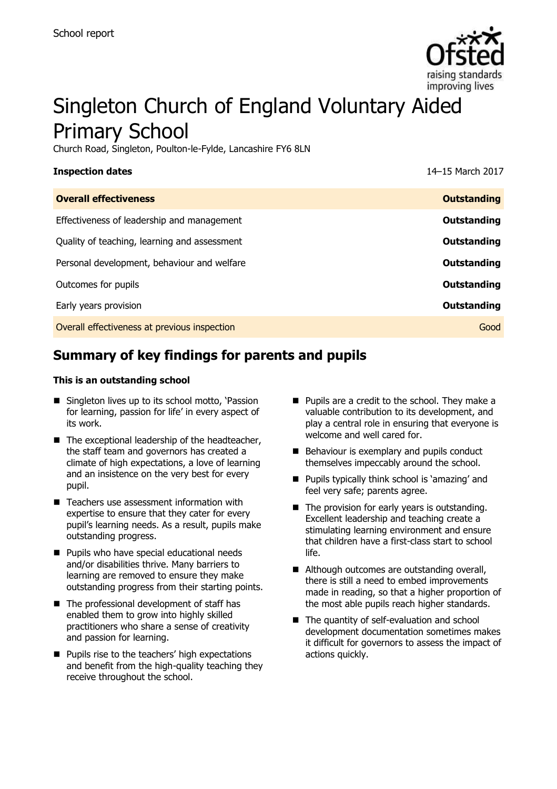

# Singleton Church of England Voluntary Aided Primary School

Church Road, Singleton, Poulton-le-Fylde, Lancashire FY6 8LN

| <b>Inspection dates</b>                      | 14-15 March 2017   |
|----------------------------------------------|--------------------|
| <b>Overall effectiveness</b>                 | <b>Outstanding</b> |
| Effectiveness of leadership and management   | Outstanding        |
| Quality of teaching, learning and assessment | Outstanding        |
| Personal development, behaviour and welfare  | Outstanding        |
| Outcomes for pupils                          | Outstanding        |
| Early years provision                        | Outstanding        |
| Overall effectiveness at previous inspection | Good               |
|                                              |                    |

# **Summary of key findings for parents and pupils**

#### **This is an outstanding school**

- Singleton lives up to its school motto, 'Passion for learning, passion for life' in every aspect of its work.
- $\blacksquare$  The exceptional leadership of the headteacher, the staff team and governors has created a climate of high expectations, a love of learning and an insistence on the very best for every pupil.
- Teachers use assessment information with expertise to ensure that they cater for every pupil's learning needs. As a result, pupils make outstanding progress.
- **Pupils who have special educational needs** and/or disabilities thrive. Many barriers to learning are removed to ensure they make outstanding progress from their starting points.
- The professional development of staff has enabled them to grow into highly skilled practitioners who share a sense of creativity and passion for learning.
- **Pupils rise to the teachers' high expectations** and benefit from the high-quality teaching they receive throughout the school.
- **Pupils are a credit to the school. They make a** valuable contribution to its development, and play a central role in ensuring that everyone is welcome and well cared for.
- Behaviour is exemplary and pupils conduct themselves impeccably around the school.
- Pupils typically think school is 'amazing' and feel very safe; parents agree.
- $\blacksquare$  The provision for early years is outstanding. Excellent leadership and teaching create a stimulating learning environment and ensure that children have a first-class start to school life.
- Although outcomes are outstanding overall, there is still a need to embed improvements made in reading, so that a higher proportion of the most able pupils reach higher standards.
- The quantity of self-evaluation and school development documentation sometimes makes it difficult for governors to assess the impact of actions quickly.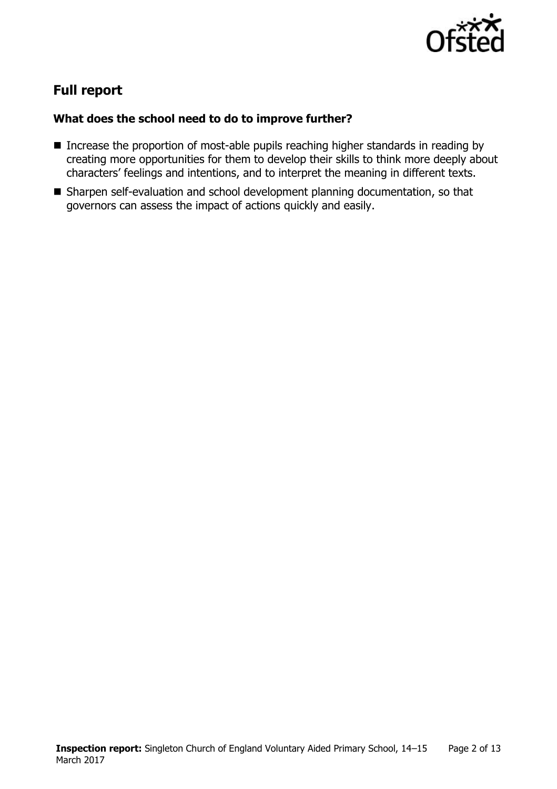

# **Full report**

### **What does the school need to do to improve further?**

- Increase the proportion of most-able pupils reaching higher standards in reading by creating more opportunities for them to develop their skills to think more deeply about characters' feelings and intentions, and to interpret the meaning in different texts.
- Sharpen self-evaluation and school development planning documentation, so that governors can assess the impact of actions quickly and easily.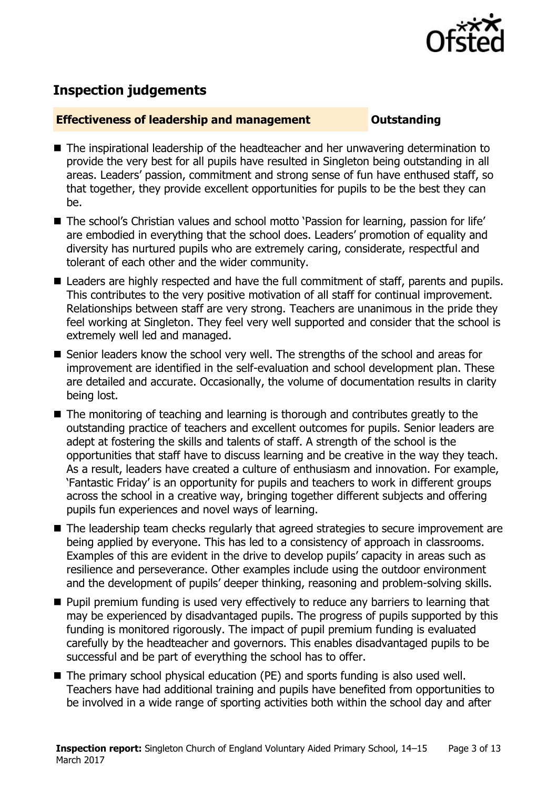

# **Inspection judgements**

#### **Effectiveness of leadership and management Cultum Outstanding**

- The inspirational leadership of the headteacher and her unwavering determination to provide the very best for all pupils have resulted in Singleton being outstanding in all areas. Leaders' passion, commitment and strong sense of fun have enthused staff, so that together, they provide excellent opportunities for pupils to be the best they can be.
- The school's Christian values and school motto 'Passion for learning, passion for life' are embodied in everything that the school does. Leaders' promotion of equality and diversity has nurtured pupils who are extremely caring, considerate, respectful and tolerant of each other and the wider community.
- Leaders are highly respected and have the full commitment of staff, parents and pupils. This contributes to the very positive motivation of all staff for continual improvement. Relationships between staff are very strong. Teachers are unanimous in the pride they feel working at Singleton. They feel very well supported and consider that the school is extremely well led and managed.
- Senior leaders know the school very well. The strengths of the school and areas for improvement are identified in the self-evaluation and school development plan. These are detailed and accurate. Occasionally, the volume of documentation results in clarity being lost.
- The monitoring of teaching and learning is thorough and contributes greatly to the outstanding practice of teachers and excellent outcomes for pupils. Senior leaders are adept at fostering the skills and talents of staff. A strength of the school is the opportunities that staff have to discuss learning and be creative in the way they teach. As a result, leaders have created a culture of enthusiasm and innovation. For example, 'Fantastic Friday' is an opportunity for pupils and teachers to work in different groups across the school in a creative way, bringing together different subjects and offering pupils fun experiences and novel ways of learning.
- The leadership team checks regularly that agreed strategies to secure improvement are being applied by everyone. This has led to a consistency of approach in classrooms. Examples of this are evident in the drive to develop pupils' capacity in areas such as resilience and perseverance. Other examples include using the outdoor environment and the development of pupils' deeper thinking, reasoning and problem-solving skills.
- Pupil premium funding is used very effectively to reduce any barriers to learning that may be experienced by disadvantaged pupils. The progress of pupils supported by this funding is monitored rigorously. The impact of pupil premium funding is evaluated carefully by the headteacher and governors. This enables disadvantaged pupils to be successful and be part of everything the school has to offer.
- The primary school physical education (PE) and sports funding is also used well. Teachers have had additional training and pupils have benefited from opportunities to be involved in a wide range of sporting activities both within the school day and after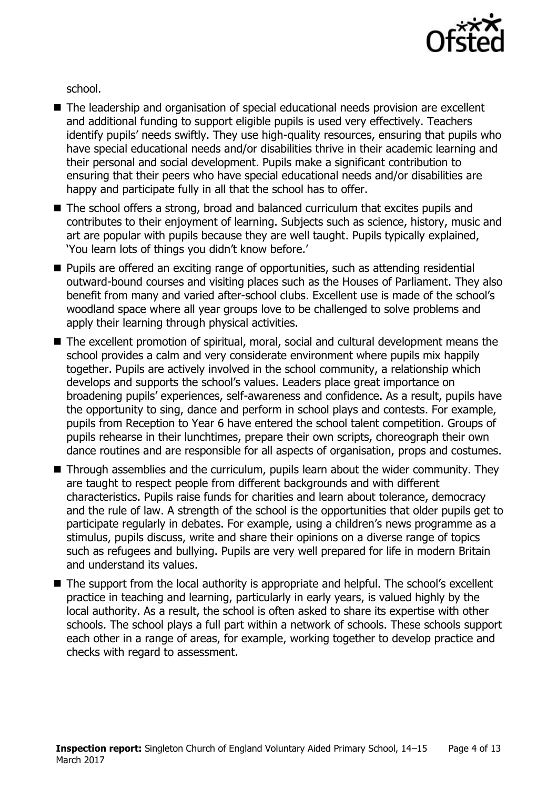

school.

- The leadership and organisation of special educational needs provision are excellent and additional funding to support eligible pupils is used very effectively. Teachers identify pupils' needs swiftly. They use high-quality resources, ensuring that pupils who have special educational needs and/or disabilities thrive in their academic learning and their personal and social development. Pupils make a significant contribution to ensuring that their peers who have special educational needs and/or disabilities are happy and participate fully in all that the school has to offer.
- The school offers a strong, broad and balanced curriculum that excites pupils and contributes to their enjoyment of learning. Subjects such as science, history, music and art are popular with pupils because they are well taught. Pupils typically explained, 'You learn lots of things you didn't know before.'
- Pupils are offered an exciting range of opportunities, such as attending residential outward-bound courses and visiting places such as the Houses of Parliament. They also benefit from many and varied after-school clubs. Excellent use is made of the school's woodland space where all year groups love to be challenged to solve problems and apply their learning through physical activities.
- The excellent promotion of spiritual, moral, social and cultural development means the school provides a calm and very considerate environment where pupils mix happily together. Pupils are actively involved in the school community, a relationship which develops and supports the school's values. Leaders place great importance on broadening pupils' experiences, self-awareness and confidence. As a result, pupils have the opportunity to sing, dance and perform in school plays and contests. For example, pupils from Reception to Year 6 have entered the school talent competition. Groups of pupils rehearse in their lunchtimes, prepare their own scripts, choreograph their own dance routines and are responsible for all aspects of organisation, props and costumes.
- Through assemblies and the curriculum, pupils learn about the wider community. They are taught to respect people from different backgrounds and with different characteristics. Pupils raise funds for charities and learn about tolerance, democracy and the rule of law. A strength of the school is the opportunities that older pupils get to participate regularly in debates. For example, using a children's news programme as a stimulus, pupils discuss, write and share their opinions on a diverse range of topics such as refugees and bullying. Pupils are very well prepared for life in modern Britain and understand its values.
- The support from the local authority is appropriate and helpful. The school's excellent practice in teaching and learning, particularly in early years, is valued highly by the local authority. As a result, the school is often asked to share its expertise with other schools. The school plays a full part within a network of schools. These schools support each other in a range of areas, for example, working together to develop practice and checks with regard to assessment.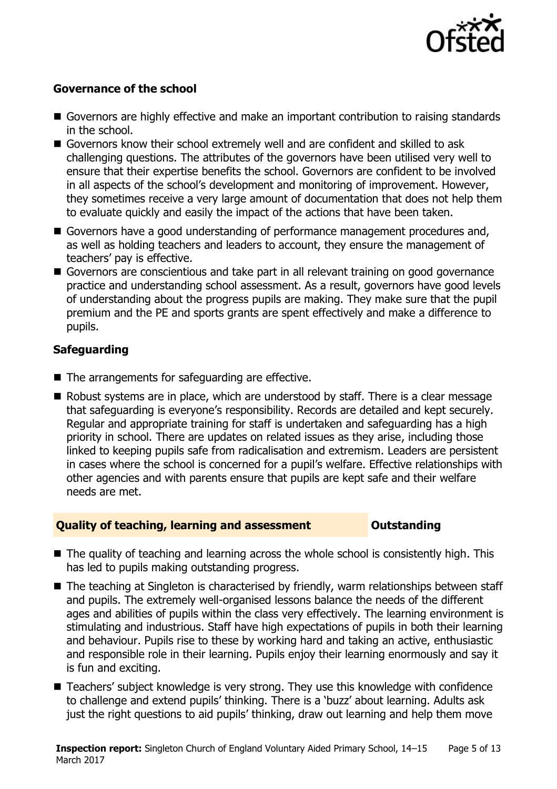

### **Governance of the school**

- Governors are highly effective and make an important contribution to raising standards in the school.
- Governors know their school extremely well and are confident and skilled to ask challenging questions. The attributes of the governors have been utilised very well to ensure that their expertise benefits the school. Governors are confident to be involved in all aspects of the school's development and monitoring of improvement. However, they sometimes receive a very large amount of documentation that does not help them to evaluate quickly and easily the impact of the actions that have been taken.
- Governors have a good understanding of performance management procedures and, as well as holding teachers and leaders to account, they ensure the management of teachers' pay is effective.
- Governors are conscientious and take part in all relevant training on good governance practice and understanding school assessment. As a result, governors have good levels of understanding about the progress pupils are making. They make sure that the pupil premium and the PE and sports grants are spent effectively and make a difference to pupils.

### **Safeguarding**

- The arrangements for safeguarding are effective.
- Robust systems are in place, which are understood by staff. There is a clear message that safeguarding is everyone's responsibility. Records are detailed and kept securely. Regular and appropriate training for staff is undertaken and safeguarding has a high priority in school. There are updates on related issues as they arise, including those linked to keeping pupils safe from radicalisation and extremism. Leaders are persistent in cases where the school is concerned for a pupil's welfare. Effective relationships with other agencies and with parents ensure that pupils are kept safe and their welfare needs are met.

#### **Quality of teaching, learning and assessment Outstanding**

- The quality of teaching and learning across the whole school is consistently high. This has led to pupils making outstanding progress.
- The teaching at Singleton is characterised by friendly, warm relationships between staff and pupils. The extremely well-organised lessons balance the needs of the different ages and abilities of pupils within the class very effectively. The learning environment is stimulating and industrious. Staff have high expectations of pupils in both their learning and behaviour. Pupils rise to these by working hard and taking an active, enthusiastic and responsible role in their learning. Pupils enjoy their learning enormously and say it is fun and exciting.
- Teachers' subject knowledge is very strong. They use this knowledge with confidence to challenge and extend pupils' thinking. There is a 'buzz' about learning. Adults ask just the right questions to aid pupils' thinking, draw out learning and help them move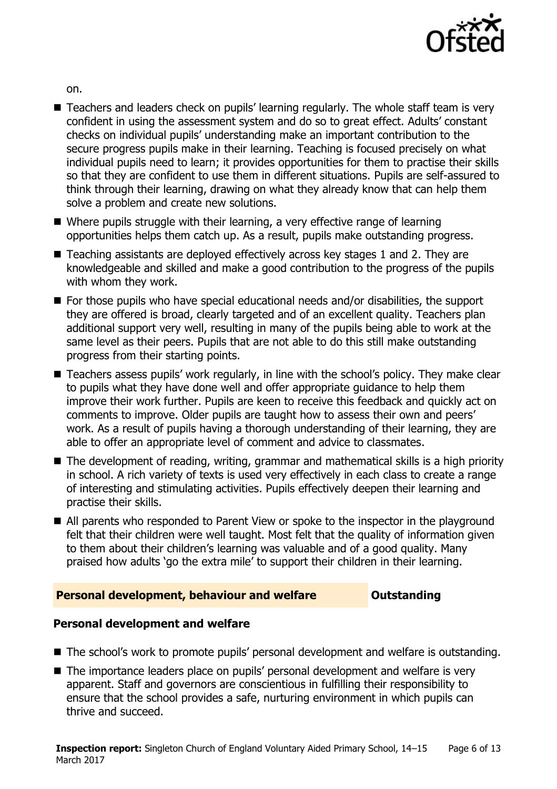

on.

- Teachers and leaders check on pupils' learning regularly. The whole staff team is very confident in using the assessment system and do so to great effect. Adults' constant checks on individual pupils' understanding make an important contribution to the secure progress pupils make in their learning. Teaching is focused precisely on what individual pupils need to learn; it provides opportunities for them to practise their skills so that they are confident to use them in different situations. Pupils are self-assured to think through their learning, drawing on what they already know that can help them solve a problem and create new solutions.
- Where pupils struggle with their learning, a very effective range of learning opportunities helps them catch up. As a result, pupils make outstanding progress.
- Teaching assistants are deployed effectively across key stages 1 and 2. They are knowledgeable and skilled and make a good contribution to the progress of the pupils with whom they work.
- $\blacksquare$  For those pupils who have special educational needs and/or disabilities, the support they are offered is broad, clearly targeted and of an excellent quality. Teachers plan additional support very well, resulting in many of the pupils being able to work at the same level as their peers. Pupils that are not able to do this still make outstanding progress from their starting points.
- Teachers assess pupils' work regularly, in line with the school's policy. They make clear to pupils what they have done well and offer appropriate guidance to help them improve their work further. Pupils are keen to receive this feedback and quickly act on comments to improve. Older pupils are taught how to assess their own and peers' work. As a result of pupils having a thorough understanding of their learning, they are able to offer an appropriate level of comment and advice to classmates.
- The development of reading, writing, grammar and mathematical skills is a high priority in school. A rich variety of texts is used very effectively in each class to create a range of interesting and stimulating activities. Pupils effectively deepen their learning and practise their skills.
- All parents who responded to Parent View or spoke to the inspector in the playground felt that their children were well taught. Most felt that the quality of information given to them about their children's learning was valuable and of a good quality. Many praised how adults 'go the extra mile' to support their children in their learning.

### **Personal development, behaviour and welfare <b>COUNG COULDER** Outstanding

### **Personal development and welfare**

- The school's work to promote pupils' personal development and welfare is outstanding.
- The importance leaders place on pupils' personal development and welfare is very apparent. Staff and governors are conscientious in fulfilling their responsibility to ensure that the school provides a safe, nurturing environment in which pupils can thrive and succeed.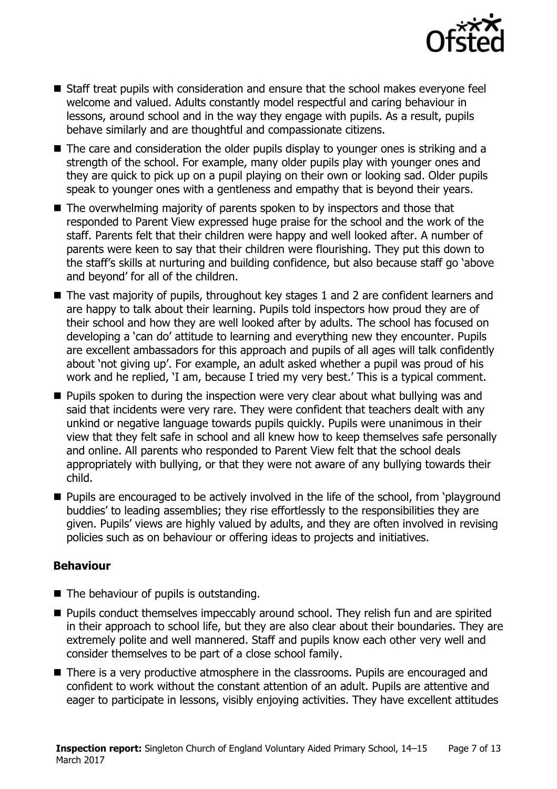

- Staff treat pupils with consideration and ensure that the school makes everyone feel welcome and valued. Adults constantly model respectful and caring behaviour in lessons, around school and in the way they engage with pupils. As a result, pupils behave similarly and are thoughtful and compassionate citizens.
- The care and consideration the older pupils display to younger ones is striking and a strength of the school. For example, many older pupils play with younger ones and they are quick to pick up on a pupil playing on their own or looking sad. Older pupils speak to younger ones with a gentleness and empathy that is beyond their years.
- The overwhelming majority of parents spoken to by inspectors and those that responded to Parent View expressed huge praise for the school and the work of the staff. Parents felt that their children were happy and well looked after. A number of parents were keen to say that their children were flourishing. They put this down to the staff's skills at nurturing and building confidence, but also because staff go 'above and beyond' for all of the children.
- The vast majority of pupils, throughout key stages 1 and 2 are confident learners and are happy to talk about their learning. Pupils told inspectors how proud they are of their school and how they are well looked after by adults. The school has focused on developing a 'can do' attitude to learning and everything new they encounter. Pupils are excellent ambassadors for this approach and pupils of all ages will talk confidently about 'not giving up'. For example, an adult asked whether a pupil was proud of his work and he replied, 'I am, because I tried my very best.' This is a typical comment.
- **Pupils spoken to during the inspection were very clear about what bullying was and** said that incidents were very rare. They were confident that teachers dealt with any unkind or negative language towards pupils quickly. Pupils were unanimous in their view that they felt safe in school and all knew how to keep themselves safe personally and online. All parents who responded to Parent View felt that the school deals appropriately with bullying, or that they were not aware of any bullying towards their child.
- **Pupils are encouraged to be actively involved in the life of the school, from 'playground'** buddies' to leading assemblies; they rise effortlessly to the responsibilities they are given. Pupils' views are highly valued by adults, and they are often involved in revising policies such as on behaviour or offering ideas to projects and initiatives.

### **Behaviour**

- The behaviour of pupils is outstanding.
- **Pupils conduct themselves impeccably around school. They relish fun and are spirited** in their approach to school life, but they are also clear about their boundaries. They are extremely polite and well mannered. Staff and pupils know each other very well and consider themselves to be part of a close school family.
- There is a very productive atmosphere in the classrooms. Pupils are encouraged and confident to work without the constant attention of an adult. Pupils are attentive and eager to participate in lessons, visibly enjoying activities. They have excellent attitudes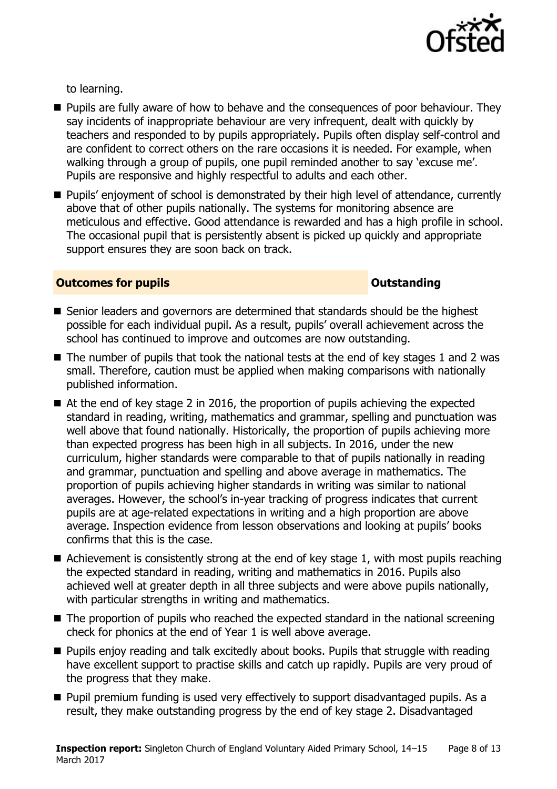

to learning.

- **Pupils are fully aware of how to behave and the consequences of poor behaviour. They** say incidents of inappropriate behaviour are very infrequent, dealt with quickly by teachers and responded to by pupils appropriately. Pupils often display self-control and are confident to correct others on the rare occasions it is needed. For example, when walking through a group of pupils, one pupil reminded another to say 'excuse me'. Pupils are responsive and highly respectful to adults and each other.
- **Pupils'** enjoyment of school is demonstrated by their high level of attendance, currently above that of other pupils nationally. The systems for monitoring absence are meticulous and effective. Good attendance is rewarded and has a high profile in school. The occasional pupil that is persistently absent is picked up quickly and appropriate support ensures they are soon back on track.

### **Outcomes for pupils Outstanding**

- Senior leaders and governors are determined that standards should be the highest possible for each individual pupil. As a result, pupils' overall achievement across the school has continued to improve and outcomes are now outstanding.
- $\blacksquare$  The number of pupils that took the national tests at the end of key stages 1 and 2 was small. Therefore, caution must be applied when making comparisons with nationally published information.
- At the end of key stage 2 in 2016, the proportion of pupils achieving the expected standard in reading, writing, mathematics and grammar, spelling and punctuation was well above that found nationally. Historically, the proportion of pupils achieving more than expected progress has been high in all subjects. In 2016, under the new curriculum, higher standards were comparable to that of pupils nationally in reading and grammar, punctuation and spelling and above average in mathematics. The proportion of pupils achieving higher standards in writing was similar to national averages. However, the school's in-year tracking of progress indicates that current pupils are at age-related expectations in writing and a high proportion are above average. Inspection evidence from lesson observations and looking at pupils' books confirms that this is the case.
- Achievement is consistently strong at the end of key stage 1, with most pupils reaching the expected standard in reading, writing and mathematics in 2016. Pupils also achieved well at greater depth in all three subjects and were above pupils nationally, with particular strengths in writing and mathematics.
- The proportion of pupils who reached the expected standard in the national screening check for phonics at the end of Year 1 is well above average.
- **Pupils enjoy reading and talk excitedly about books. Pupils that struggle with reading** have excellent support to practise skills and catch up rapidly. Pupils are very proud of the progress that they make.
- **Pupil premium funding is used very effectively to support disadvantaged pupils. As a** result, they make outstanding progress by the end of key stage 2. Disadvantaged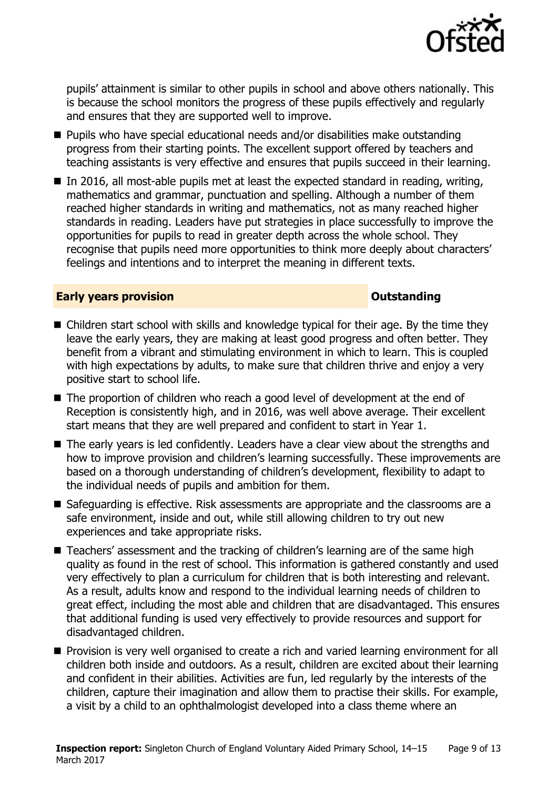

pupils' attainment is similar to other pupils in school and above others nationally. This is because the school monitors the progress of these pupils effectively and regularly and ensures that they are supported well to improve.

- Pupils who have special educational needs and/or disabilities make outstanding progress from their starting points. The excellent support offered by teachers and teaching assistants is very effective and ensures that pupils succeed in their learning.
- $\blacksquare$  In 2016, all most-able pupils met at least the expected standard in reading, writing, mathematics and grammar, punctuation and spelling. Although a number of them reached higher standards in writing and mathematics, not as many reached higher standards in reading. Leaders have put strategies in place successfully to improve the opportunities for pupils to read in greater depth across the whole school. They recognise that pupils need more opportunities to think more deeply about characters' feelings and intentions and to interpret the meaning in different texts.

#### **Early years provision CONSTANDING TO A RESEARCH CONSTANDING TO A RESEARCH CONSTANDING TO A RESEARCH CONSTANDING TO A RESEARCH CONSTANDING TO A RESEARCH CONSTANDING TO A RESEARCH CONSTANDING TO A RESEARCH CONSTANDING TO**

- Children start school with skills and knowledge typical for their age. By the time they leave the early years, they are making at least good progress and often better. They benefit from a vibrant and stimulating environment in which to learn. This is coupled with high expectations by adults, to make sure that children thrive and enjoy a very positive start to school life.
- The proportion of children who reach a good level of development at the end of Reception is consistently high, and in 2016, was well above average. Their excellent start means that they are well prepared and confident to start in Year 1.
- The early years is led confidently. Leaders have a clear view about the strengths and how to improve provision and children's learning successfully. These improvements are based on a thorough understanding of children's development, flexibility to adapt to the individual needs of pupils and ambition for them.
- Safeguarding is effective. Risk assessments are appropriate and the classrooms are a safe environment, inside and out, while still allowing children to try out new experiences and take appropriate risks.
- Teachers' assessment and the tracking of children's learning are of the same high quality as found in the rest of school. This information is gathered constantly and used very effectively to plan a curriculum for children that is both interesting and relevant. As a result, adults know and respond to the individual learning needs of children to great effect, including the most able and children that are disadvantaged. This ensures that additional funding is used very effectively to provide resources and support for disadvantaged children.
- **Provision is very well organised to create a rich and varied learning environment for all** children both inside and outdoors. As a result, children are excited about their learning and confident in their abilities. Activities are fun, led regularly by the interests of the children, capture their imagination and allow them to practise their skills. For example, a visit by a child to an ophthalmologist developed into a class theme where an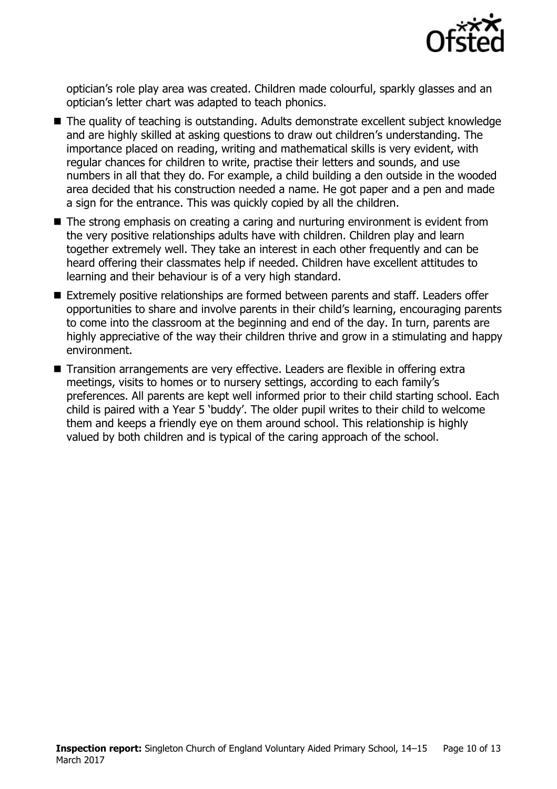

optician's role play area was created. Children made colourful, sparkly glasses and an optician's letter chart was adapted to teach phonics.

- The quality of teaching is outstanding. Adults demonstrate excellent subject knowledge and are highly skilled at asking questions to draw out children's understanding. The importance placed on reading, writing and mathematical skills is very evident, with regular chances for children to write, practise their letters and sounds, and use numbers in all that they do. For example, a child building a den outside in the wooded area decided that his construction needed a name. He got paper and a pen and made a sign for the entrance. This was quickly copied by all the children.
- The strong emphasis on creating a caring and nurturing environment is evident from the very positive relationships adults have with children. Children play and learn together extremely well. They take an interest in each other frequently and can be heard offering their classmates help if needed. Children have excellent attitudes to learning and their behaviour is of a very high standard.
- Extremely positive relationships are formed between parents and staff. Leaders offer opportunities to share and involve parents in their child's learning, encouraging parents to come into the classroom at the beginning and end of the day. In turn, parents are highly appreciative of the way their children thrive and grow in a stimulating and happy environment.
- Transition arrangements are very effective. Leaders are flexible in offering extra meetings, visits to homes or to nursery settings, according to each family's preferences. All parents are kept well informed prior to their child starting school. Each child is paired with a Year 5 'buddy'. The older pupil writes to their child to welcome them and keeps a friendly eye on them around school. This relationship is highly valued by both children and is typical of the caring approach of the school.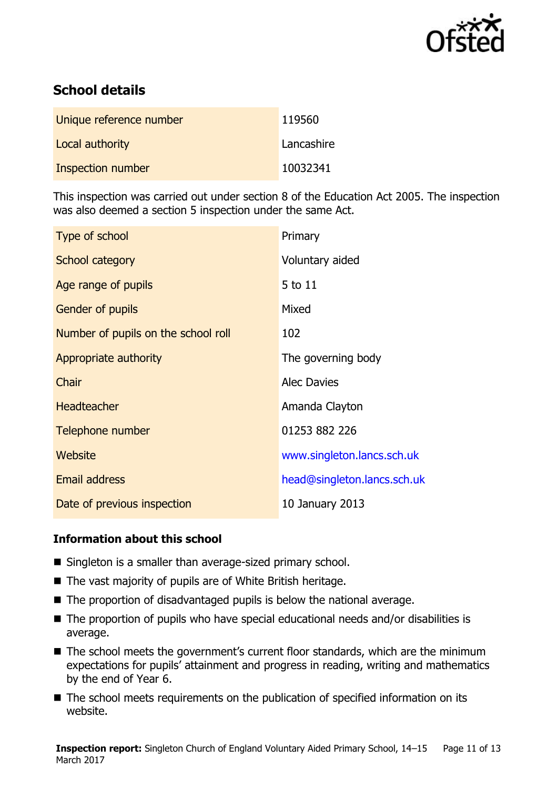

# **School details**

| Unique reference number | 119560     |
|-------------------------|------------|
| Local authority         | Lancashire |
| Inspection number       | 10032341   |

This inspection was carried out under section 8 of the Education Act 2005. The inspection was also deemed a section 5 inspection under the same Act.

| Type of school                      | Primary                     |
|-------------------------------------|-----------------------------|
| School category                     | Voluntary aided             |
| Age range of pupils                 | 5 to 11                     |
| <b>Gender of pupils</b>             | Mixed                       |
| Number of pupils on the school roll | 102                         |
| Appropriate authority               | The governing body          |
| Chair                               | <b>Alec Davies</b>          |
| <b>Headteacher</b>                  | Amanda Clayton              |
| Telephone number                    | 01253 882 226               |
| Website                             | www.singleton.lancs.sch.uk  |
| <b>Email address</b>                | head@singleton.lancs.sch.uk |
| Date of previous inspection         | 10 January 2013             |

### **Information about this school**

- Singleton is a smaller than average-sized primary school.
- The vast majority of pupils are of White British heritage.
- The proportion of disadvantaged pupils is below the national average.
- The proportion of pupils who have special educational needs and/or disabilities is average.
- The school meets the government's current floor standards, which are the minimum expectations for pupils' attainment and progress in reading, writing and mathematics by the end of Year 6.
- The school meets requirements on the publication of specified information on its website.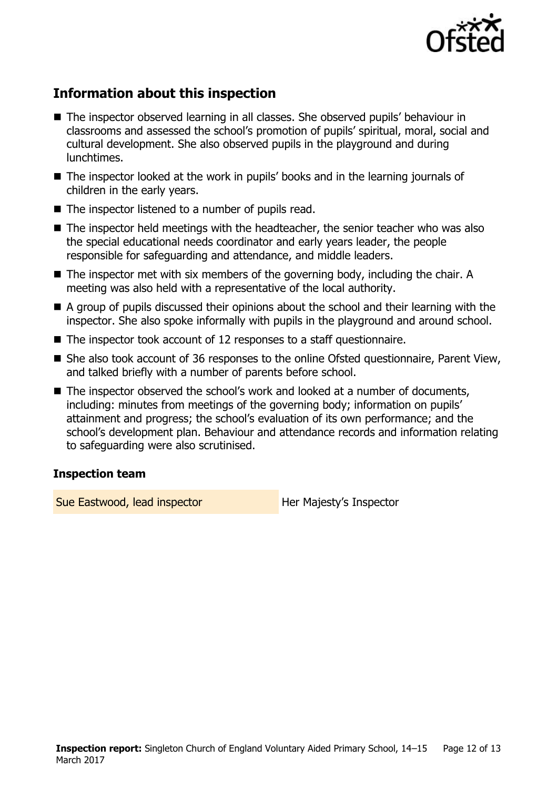

# **Information about this inspection**

- The inspector observed learning in all classes. She observed pupils' behaviour in classrooms and assessed the school's promotion of pupils' spiritual, moral, social and cultural development. She also observed pupils in the playground and during lunchtimes.
- The inspector looked at the work in pupils' books and in the learning journals of children in the early years.
- $\blacksquare$  The inspector listened to a number of pupils read.
- The inspector held meetings with the headteacher, the senior teacher who was also the special educational needs coordinator and early years leader, the people responsible for safeguarding and attendance, and middle leaders.
- The inspector met with six members of the governing body, including the chair. A meeting was also held with a representative of the local authority.
- A group of pupils discussed their opinions about the school and their learning with the inspector. She also spoke informally with pupils in the playground and around school.
- The inspector took account of 12 responses to a staff questionnaire.
- She also took account of 36 responses to the online Ofsted questionnaire, Parent View, and talked briefly with a number of parents before school.
- The inspector observed the school's work and looked at a number of documents, including: minutes from meetings of the governing body; information on pupils' attainment and progress; the school's evaluation of its own performance; and the school's development plan. Behaviour and attendance records and information relating to safeguarding were also scrutinised.

### **Inspection team**

Sue Eastwood, lead inspector **Her Majesty's Inspector**